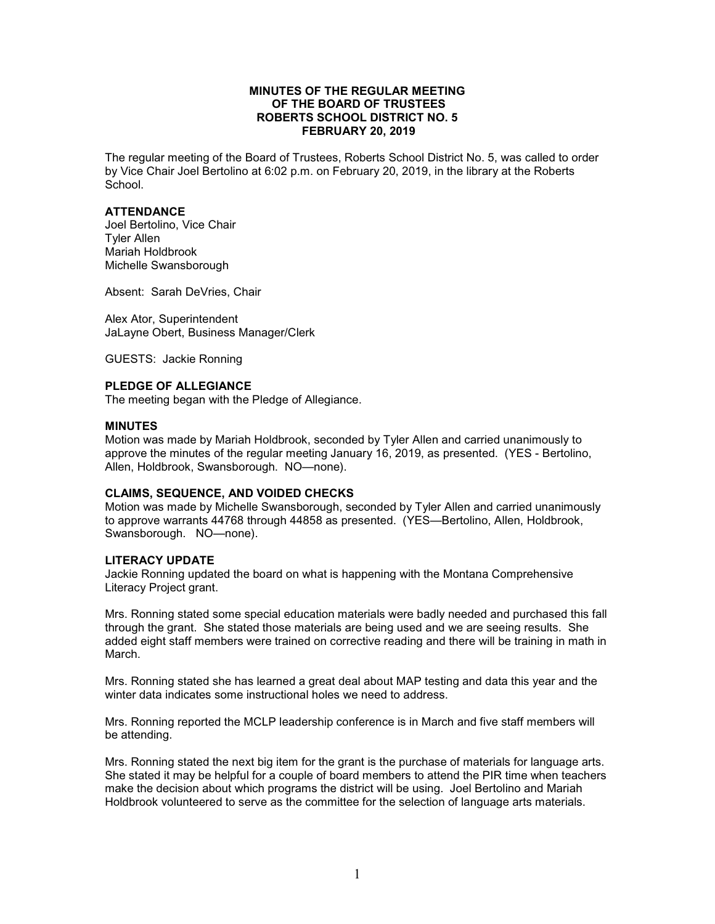### **MINUTES OF THE REGULAR MEETING OF THE BOARD OF TRUSTEES ROBERTS SCHOOL DISTRICT NO. 5 FEBRUARY 20, 2019**

The regular meeting of the Board of Trustees, Roberts School District No. 5, was called to order by Vice Chair Joel Bertolino at 6:02 p.m. on February 20, 2019, in the library at the Roberts School.

# **ATTENDANCE**

Joel Bertolino, Vice Chair Tyler Allen Mariah Holdbrook Michelle Swansborough

Absent: Sarah DeVries, Chair

Alex Ator, Superintendent JaLayne Obert, Business Manager/Clerk

GUESTS: Jackie Ronning

# **PLEDGE OF ALLEGIANCE**

The meeting began with the Pledge of Allegiance.

#### **MINUTES**

Motion was made by Mariah Holdbrook, seconded by Tyler Allen and carried unanimously to approve the minutes of the regular meeting January 16, 2019, as presented. (YES - Bertolino, Allen, Holdbrook, Swansborough. NO—none).

# **CLAIMS, SEQUENCE, AND VOIDED CHECKS**

Motion was made by Michelle Swansborough, seconded by Tyler Allen and carried unanimously to approve warrants 44768 through 44858 as presented. (YES—Bertolino, Allen, Holdbrook, Swansborough. NO—none).

#### **LITERACY UPDATE**

Jackie Ronning updated the board on what is happening with the Montana Comprehensive Literacy Project grant.

Mrs. Ronning stated some special education materials were badly needed and purchased this fall through the grant. She stated those materials are being used and we are seeing results. She added eight staff members were trained on corrective reading and there will be training in math in March.

Mrs. Ronning stated she has learned a great deal about MAP testing and data this year and the winter data indicates some instructional holes we need to address.

Mrs. Ronning reported the MCLP leadership conference is in March and five staff members will be attending.

Mrs. Ronning stated the next big item for the grant is the purchase of materials for language arts. She stated it may be helpful for a couple of board members to attend the PIR time when teachers make the decision about which programs the district will be using. Joel Bertolino and Mariah Holdbrook volunteered to serve as the committee for the selection of language arts materials.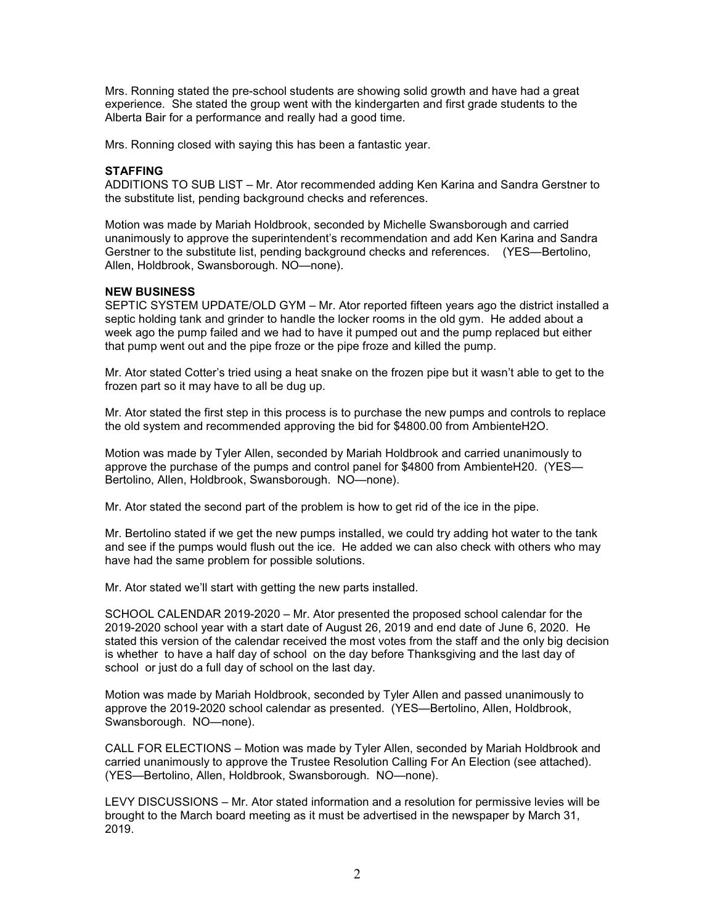Mrs. Ronning stated the pre-school students are showing solid growth and have had a great experience. She stated the group went with the kindergarten and first grade students to the Alberta Bair for a performance and really had a good time.

Mrs. Ronning closed with saying this has been a fantastic year.

# **STAFFING**

ADDITIONS TO SUB LIST – Mr. Ator recommended adding Ken Karina and Sandra Gerstner to the substitute list, pending background checks and references.

Motion was made by Mariah Holdbrook, seconded by Michelle Swansborough and carried unanimously to approve the superintendent's recommendation and add Ken Karina and Sandra Gerstner to the substitute list, pending background checks and references. (YES—Bertolino, Allen, Holdbrook, Swansborough. NO—none).

#### **NEW BUSINESS**

SEPTIC SYSTEM UPDATE/OLD GYM – Mr. Ator reported fifteen years ago the district installed a septic holding tank and grinder to handle the locker rooms in the old gym. He added about a week ago the pump failed and we had to have it pumped out and the pump replaced but either that pump went out and the pipe froze or the pipe froze and killed the pump.

Mr. Ator stated Cotter's tried using a heat snake on the frozen pipe but it wasn't able to get to the frozen part so it may have to all be dug up.

Mr. Ator stated the first step in this process is to purchase the new pumps and controls to replace the old system and recommended approving the bid for \$4800.00 from AmbienteH2O.

Motion was made by Tyler Allen, seconded by Mariah Holdbrook and carried unanimously to approve the purchase of the pumps and control panel for \$4800 from AmbienteH20. (YES— Bertolino, Allen, Holdbrook, Swansborough. NO—none).

Mr. Ator stated the second part of the problem is how to get rid of the ice in the pipe.

Mr. Bertolino stated if we get the new pumps installed, we could try adding hot water to the tank and see if the pumps would flush out the ice. He added we can also check with others who may have had the same problem for possible solutions.

Mr. Ator stated we'll start with getting the new parts installed.

SCHOOL CALENDAR 2019-2020 – Mr. Ator presented the proposed school calendar for the 2019-2020 school year with a start date of August 26, 2019 and end date of June 6, 2020. He stated this version of the calendar received the most votes from the staff and the only big decision is whether to have a half day of school on the day before Thanksgiving and the last day of school or just do a full day of school on the last day.

Motion was made by Mariah Holdbrook, seconded by Tyler Allen and passed unanimously to approve the 2019-2020 school calendar as presented. (YES—Bertolino, Allen, Holdbrook, Swansborough. NO—none).

CALL FOR ELECTIONS – Motion was made by Tyler Allen, seconded by Mariah Holdbrook and carried unanimously to approve the Trustee Resolution Calling For An Election (see attached). (YES—Bertolino, Allen, Holdbrook, Swansborough. NO—none).

LEVY DISCUSSIONS – Mr. Ator stated information and a resolution for permissive levies will be brought to the March board meeting as it must be advertised in the newspaper by March 31, 2019.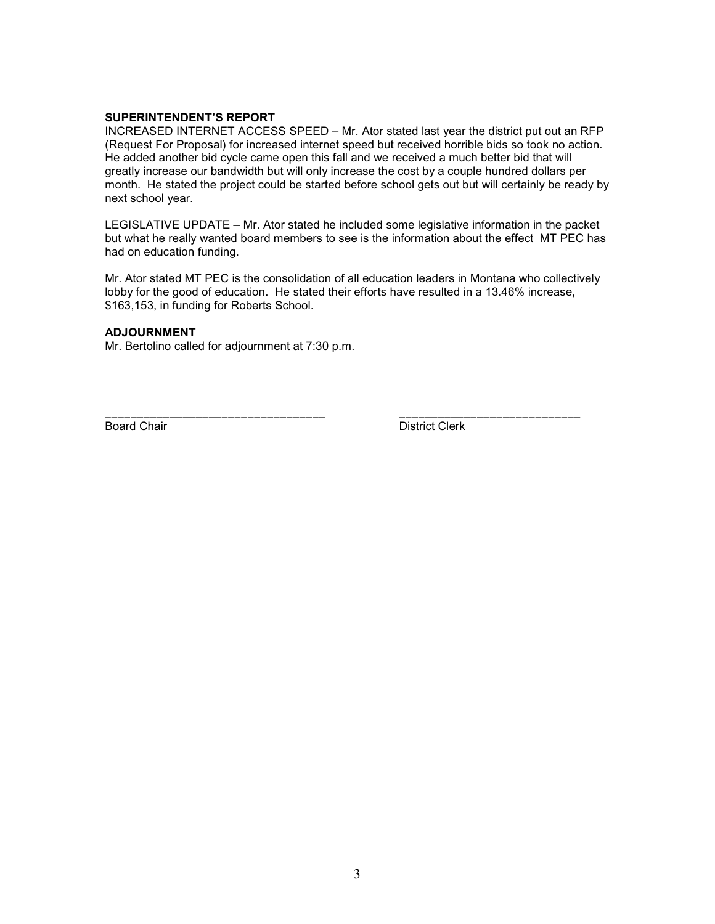# **SUPERINTENDENT'S REPORT**

INCREASED INTERNET ACCESS SPEED – Mr. Ator stated last year the district put out an RFP (Request For Proposal) for increased internet speed but received horrible bids so took no action. He added another bid cycle came open this fall and we received a much better bid that will greatly increase our bandwidth but will only increase the cost by a couple hundred dollars per month. He stated the project could be started before school gets out but will certainly be ready by next school year.

LEGISLATIVE UPDATE – Mr. Ator stated he included some legislative information in the packet but what he really wanted board members to see is the information about the effect MT PEC has had on education funding.

Mr. Ator stated MT PEC is the consolidation of all education leaders in Montana who collectively lobby for the good of education. He stated their efforts have resulted in a 13.46% increase, \$163,153, in funding for Roberts School.

#### **ADJOURNMENT**

Mr. Bertolino called for adjournment at 7:30 p.m.

\_\_\_\_\_\_\_\_\_\_\_\_\_\_\_\_\_\_\_\_\_\_\_\_\_\_\_\_\_\_\_\_\_\_ \_\_\_\_\_\_\_\_\_\_\_\_\_\_\_\_\_\_\_\_\_\_\_\_\_\_\_\_ Board Chair **District Clerk**